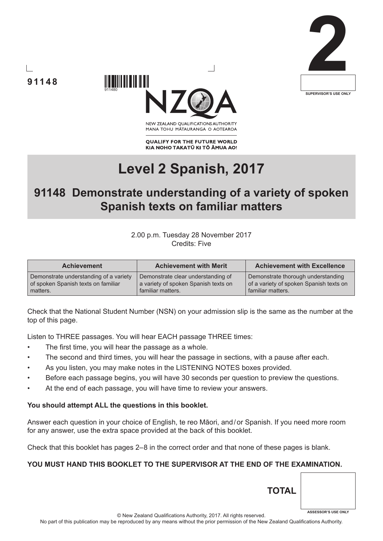





NEW ZEALAND OUALIFICATIONS AUTHORITY MANA TOHU MATAURANGA O AOTEAROA

**QUALIFY FOR THE FUTURE WORLD** KIA NOHO TAKATŪ KI TŌ ĀMUA AO!

# **Level 2 Spanish, 2017**

## **91148 Demonstrate understanding of a variety of spoken Spanish texts on familiar matters**

#### 2.00 p.m. Tuesday 28 November 2017 Credits: Five

| <b>Achievement</b>                     | <b>Achievement with Merit</b>        | <b>Achievement with Excellence</b>      |
|----------------------------------------|--------------------------------------|-----------------------------------------|
| Demonstrate understanding of a variety | Demonstrate clear understanding of   | Demonstrate thorough understanding      |
| of spoken Spanish texts on familiar    | a variety of spoken Spanish texts on | of a variety of spoken Spanish texts on |
| matters.                               | familiar matters.                    | familiar matters.                       |

Check that the National Student Number (NSN) on your admission slip is the same as the number at the top of this page.

Listen to THREE passages. You will hear EACH passage THREE times:

- The first time, you will hear the passage as a whole.
- The second and third times, you will hear the passage in sections, with a pause after each.
- As you listen, you may make notes in the LISTENING NOTES boxes provided.
- Before each passage begins, you will have 30 seconds per question to preview the questions.
- At the end of each passage, you will have time to review your answers.

#### **You should attempt ALL the questions in this booklet.**

Answer each question in your choice of English, te reo Māori, and/or Spanish. If you need more room for any answer, use the extra space provided at the back of this booklet.

Check that this booklet has pages 2–8 in the correct order and that none of these pages is blank.

#### **YOU MUST HAND THIS BOOKLET TO THE SUPERVISOR AT THE END OF THE EXAMINATION.**

© New Zealand Qualifications Authority, 2017. All rights reserved. **ASSESSOR'S USE ONLY**

**TOTAL**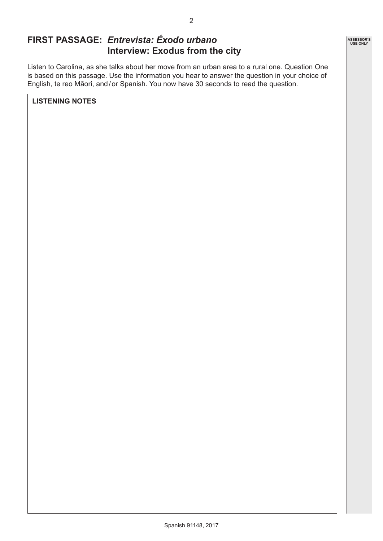## **FIRST PASSAGE:** *Entrevista: Éxodo urbano* **Interview: Exodus from the city**

Listen to Carolina, as she talks about her move from an urban area to a rural one. Question One is based on this passage. Use the information you hear to answer the question in your choice of English, te reo Māori, and/or Spanish. You now have 30 seconds to read the question.

**LISTENING NOTES**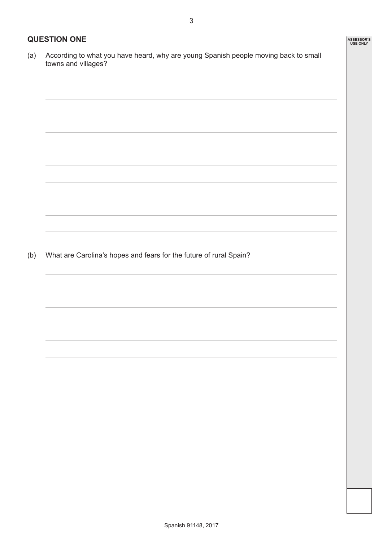#### **QUESTION ONE**

(a) According to what you have heard, why are young Spanish people moving back to small towns and villages?

(b) What are Carolina's hopes and fears for the future of rural Spain?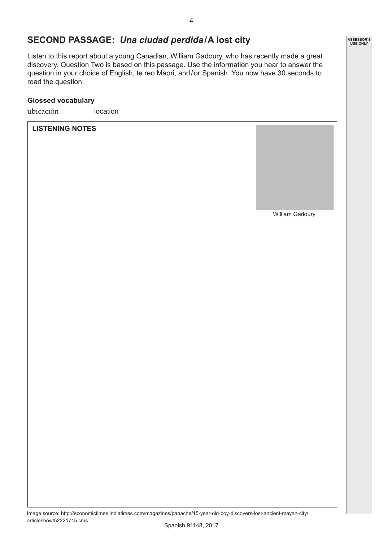### **SECOND PASSAGE:** *Una ciudad perdida***/A lost city**

Listen to this report about a young Canadian, William Gadoury, who has recently made a great discovery. Question Two is based on this passage. Use the information you hear to answer the question in your choice of English, te reo Māori, and/or Spanish. You now have 30 seconds to read the question.

#### **Glossed vocabulary**

ubicación location

**LISTENING NOTES**

William Gadoury

Image source: http://economictimes.indiatimes.com/magazines/panache/15-year-old-boy-discovers-lost-ancient-mayan-city/ articleshow/52221715.cms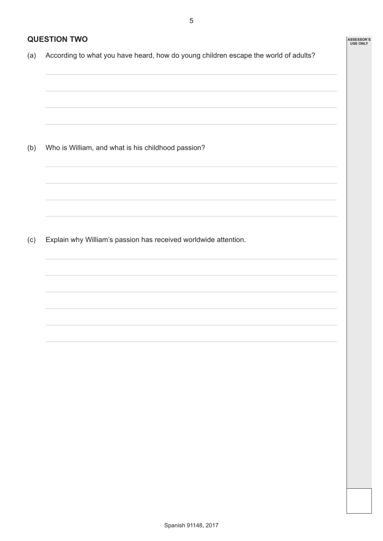**ASSESSOR'S USE ONLY**

#### **QUESTION TWO**

(a) According to what you have heard, how do young children escape the world of adults?

(b) Who is William, and what is his childhood passion?

(c) Explain why William's passion has received worldwide attention.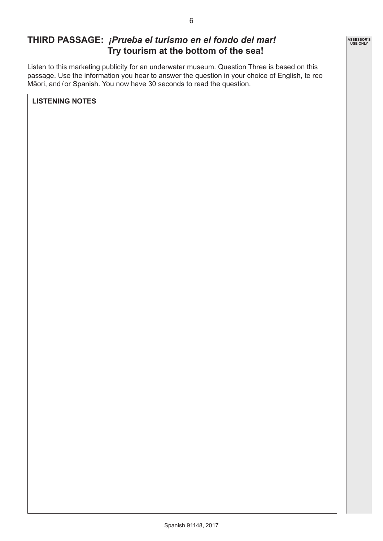## **THIRD PASSAGE:** *¡Prueba el turismo en el fondo del mar!* **Try tourism at the bottom of the sea!**

Listen to this marketing publicity for an underwater museum. Question Three is based on this passage. Use the information you hear to answer the question in your choice of English, te reo Māori, and/or Spanish. You now have 30 seconds to read the question.

**LISTENING NOTES**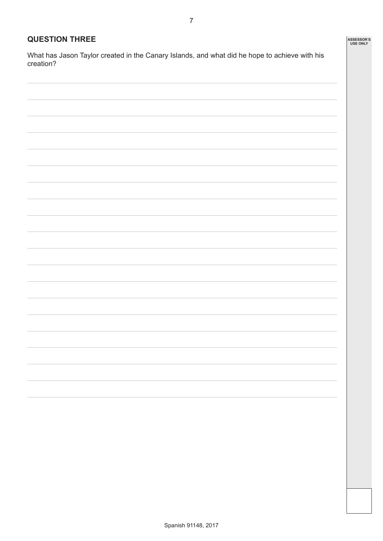#### **QUESTION THREE**

What has Jason Taylor created in the Canary Islands, and what did he hope to achieve with his creation?